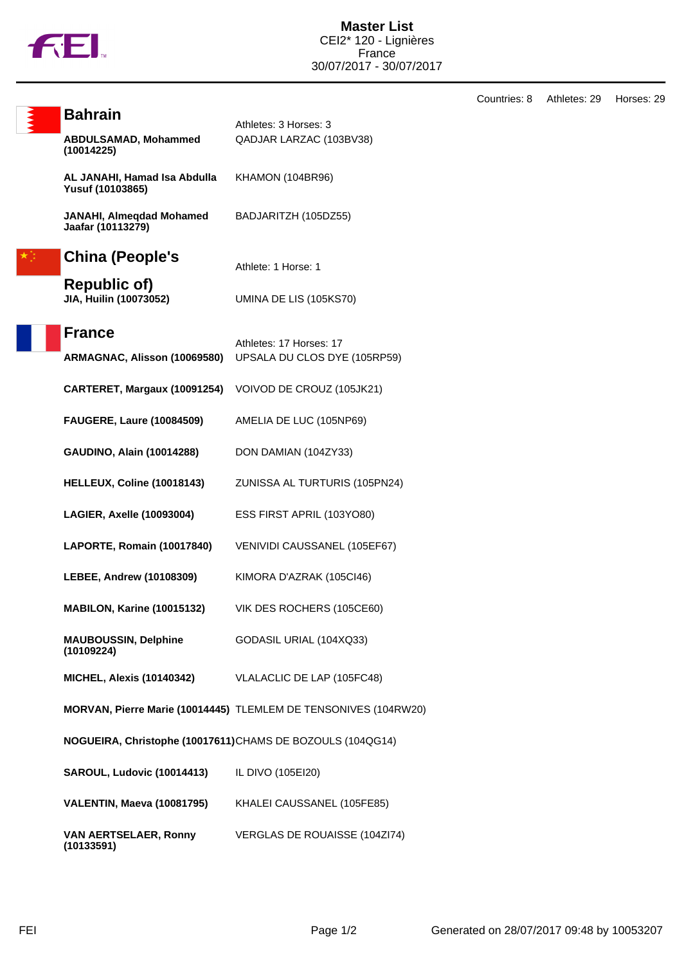

**Bahrain** Athletes: 3 Horses: 3 **ABDULSAMAD, Mohammed (10014225)** QADJAR LARZAC (103BV38) **AL JANAHI, Hamad Isa Abdulla Yusuf (10103865)** KHAMON (104BR96) **JANAHI, Almeqdad Mohamed Jaafar (10113279)** BADJARITZH (105DZ55) **China (People's Republic of)**<br>JIA, Huilin (10073052) Athlete: 1 Horse: 1 **UMINA DE LIS (105KS70) France** Athletes: 17 Horses: 17 **ARMAGNAC, Alisson (10069580)** UPSALA DU CLOS DYE (105RP59) **CARTERET, Margaux (10091254)** VOIVOD DE CROUZ (105JK21) **FAUGERE, Laure (10084509)** AMELIA DE LUC (105NP69) **GAUDINO, Alain (10014288)** DON DAMIAN (104ZY33) **HELLEUX, Coline (10018143)** ZUNISSA AL TURTURIS (105PN24) **LAGIER, Axelle (10093004)** ESS FIRST APRIL (103YO80) **LAPORTE, Romain (10017840)** VENIVIDI CAUSSANEL (105EF67) **LEBEE, Andrew (10108309)** KIMORA D'AZRAK (105CI46) **MABILON, Karine (10015132)** VIK DES ROCHERS (105CE60) **MAUBOUSSIN, Delphine (10109224)** GODASIL URIAL (104XQ33) **MICHEL, Alexis (10140342)** VLALACLIC DE LAP (105FC48) **MORVAN, Pierre Marie (10014445)** TLEMLEM DE TENSONIVES (104RW20) **NOGUEIRA, Christophe (10017611)**CHAMS DE BOZOULS (104QG14) **SAROUL, Ludovic (10014413)** IL DIVO (105EI20) **VALENTIN, Maeva (10081795)** KHALEI CAUSSANEL (105FE85) **VAN AERTSELAER, Ronny (10133591)** VERGLAS DE ROUAISSE (104ZI74)

Countries: 8 Athletes: 29 Horses: 29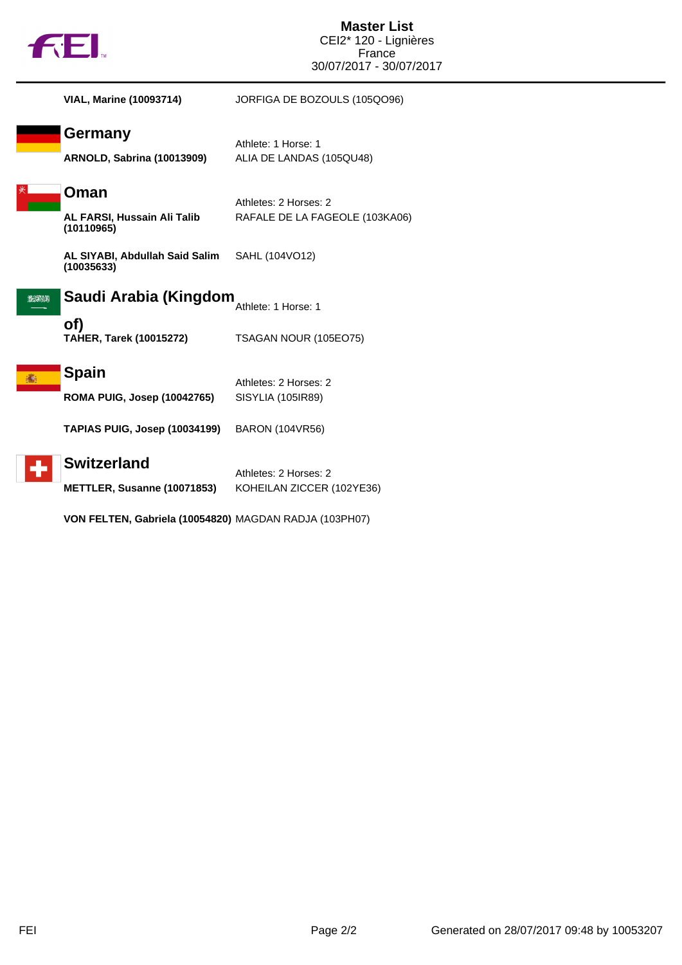|          | AEI.                                                | <b>Master List</b><br>CEI2* 120 - Lignières<br>France<br>30/07/2017 - 30/07/2017 |
|----------|-----------------------------------------------------|----------------------------------------------------------------------------------|
|          | <b>VIAL, Marine (10093714)</b>                      | JORFIGA DE BOZOULS (105QO96)                                                     |
|          | <b>Germany</b><br><b>ARNOLD, Sabrina (10013909)</b> | Athlete: 1 Horse: 1<br>ALIA DE LANDAS (105QU48)                                  |
|          | Oman<br>AL FARSI, Hussain Ali Talib<br>(10110965)   | Athletes: 2 Horses: 2<br>RAFALE DE LA FAGEOLE (103KA06)                          |
|          | AL SIYABI, Abdullah Said Salim<br>(10035633)        | SAHL (104VO12)                                                                   |
| الالاعرا | Saudi Arabia (Kingdom                               | Athlete: 1 Horse: 1                                                              |
|          | of)<br><b>TAHER, Tarek (10015272)</b>               | TSAGAN NOUR (105EO75)                                                            |
|          | <b>Spain</b><br><b>ROMA PUIG, Josep (10042765)</b>  | Athletes: 2 Horses: 2<br>SISYLIA (105IR89)                                       |
|          | <b>TAPIAS PUIG, Josep (10034199)</b>                | <b>BARON (104VR56)</b>                                                           |
|          | <b>Switzerland</b><br>METTLER, Susanne (10071853)   | Athletes: 2 Horses: 2<br>KOHEILAN ZICCER (102YE36)                               |

**VON FELTEN, Gabriela (10054820)** MAGDAN RADJA (103PH07)